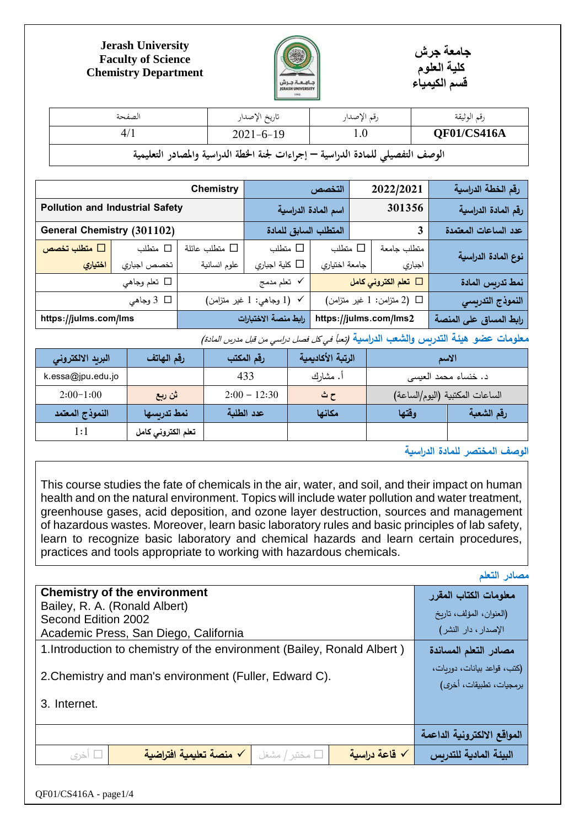

## **Jerash University Faculty of Science Chemistry Department**

| الصفحة                                                                          | تاريخ الإصدار   | رقم الإصدار | رقم الوثيقة |  |  |
|---------------------------------------------------------------------------------|-----------------|-------------|-------------|--|--|
| 4/1                                                                             | $2021 - 6 - 19$ | 0.1         | QF01/CS416A |  |  |
| الوصف التفصيلي للمادة الدراسية — إجراءات لجنة الخطة الدراسية والمصادر التعليمية |                 |             |             |  |  |

|                                        |              | <b>Chemistry</b>   |                                 | التخصص              | 2022/2021                      | رقم الخطة الدراسية     |
|----------------------------------------|--------------|--------------------|---------------------------------|---------------------|--------------------------------|------------------------|
| <b>Pollution and Industrial Safety</b> |              |                    |                                 | اسم المادة الدراسية | 301356                         | رقم المادة الدراسية    |
| <b>General Chemistry (301102)</b>      |              |                    | المتطلب السابق للمادة           |                     | 3                              | عدد الساعات المعتمدة   |
| متطلب تخصص $\square$                   | □ متطلب      | متطلب عائلة $\Box$ | □ متطلب                         | متطلب $\Box$        | متطلب جامعة                    | نوع المادة الدراسية    |
| اختيا <i>ري</i>                        | تخصص اجباري  | علوم انسانية       | كلية اجباري $\square$           | جامعة اختياري       | اجباري                         |                        |
|                                        | □ تعلم وجاهي |                    | √ تعلم مدمج                     |                     | قعلم الكتروني كامل $\Box$      | نمط تدريس المادة       |
|                                        | □ 3 وجاهي    |                    | $($ با وجاهي: 1 غير متزامن $1)$ |                     | $($ ا (2 متزامن: 1 غير متزامن) | النموذج التدريسي       |
| https://julms.com/lms                  |              |                    | رابط منصة الاختبارات            |                     | https://julms.com/lms2         | رابط المساق على المنصة |

معلومات عضو هيئة التدريس والشعب الدراسية *(تعبأ في كل فصل دراسي من قبل مدرس المادة)* 

**جامعة جرش كلية العلوم قسم الكيمياء**

| البريد الالكترونى             | رقم الهاتف         | رقم المكتب     | الرتبة الأكاديمية |       | الاسم                           |
|-------------------------------|--------------------|----------------|-------------------|-------|---------------------------------|
| k.essa@jpu.edu.jo             |                    | 433            | أ. مشارك          |       | د. خنساء محمد العيسى            |
| $2:00-1:00$                   | ثن ربع             | $2:00 - 12:30$ | ح ث               |       | الساعات المكتبية (اليوم/الساعة) |
| النموذج المعتمد               | أنمط تدربسها       | عدد الطلبة     | مكانها            | وقتها | رقم الشعبة                      |
| 1:1                           | تعلم الكتروني كامل |                |                   |       |                                 |
| الوصف المختصر للمادة الدراسية |                    |                |                   |       |                                 |

This course studies the fate of chemicals in the air, water, and soil, and their impact on human health and on the natural environment. Topics will include water pollution and water treatment, greenhouse gases, acid deposition, and ozone layer destruction, sources and management of hazardous wastes. Moreover, learn basic laboratory rules and basic principles of lab safety, learn to recognize basic laboratory and chemical hazards and learn certain procedures,

practices and tools appropriate to working with hazardous chemicals.

**مصادر التعلم**

| <b>Chemistry of the environment</b>                                          | معلومات الكتاب المقرر       |
|------------------------------------------------------------------------------|-----------------------------|
| Bailey, R. A. (Ronald Albert)                                                | (العنوان، المؤلف، تاريخ     |
| Second Edition 2002                                                          | الإصدار، دار النشر)         |
| Academic Press, San Diego, California                                        |                             |
| 1. Introduction to chemistry of the environment (Bailey, Ronald Albert)      | مصادر التعلم المساندة       |
|                                                                              | (كتب، قواعد بيانات، دوريات، |
| 2. Chemistry and man's environment (Fuller, Edward C).                       | برمجيات، تطبيقات، أخرى)     |
| 3. Internet.                                                                 |                             |
|                                                                              |                             |
|                                                                              | المواقع الالكترونية الداعمة |
| √ منصة تعليمية افتراضية<br>√ قاعة دراسية<br>مختبر / مشغل $\square$<br>□ أخري | البيئة المادية للتدربس      |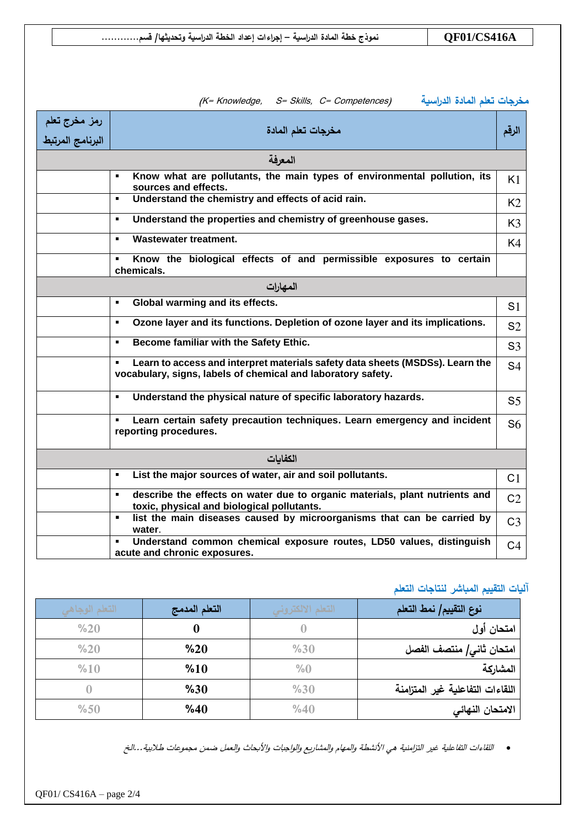|                                   | مخرجات تعلم المادة الدراسية<br>(K= Knowledge, S= Skills, C= Competences)                                                                      |                |
|-----------------------------------|-----------------------------------------------------------------------------------------------------------------------------------------------|----------------|
| رمز مخرج تعلم<br>البرنامج المرتبط | مخرجات تعلم المادة                                                                                                                            | الرقم          |
|                                   | المعرفة                                                                                                                                       |                |
|                                   | Know what are pollutants, the main types of environmental pollution, its<br>$\blacksquare$<br>sources and effects.                            | K1             |
|                                   | Understand the chemistry and effects of acid rain.<br>$\blacksquare$                                                                          | K <sub>2</sub> |
|                                   | Understand the properties and chemistry of greenhouse gases.<br>$\blacksquare$                                                                | K <sub>3</sub> |
|                                   | <b>Wastewater treatment.</b><br>$\blacksquare$                                                                                                | K4             |
|                                   | Know the biological effects of and permissible exposures to certain<br>$\blacksquare$<br>chemicals.                                           |                |
|                                   | المهارات                                                                                                                                      |                |
|                                   | Global warming and its effects.<br>$\blacksquare$                                                                                             | S <sub>1</sub> |
|                                   | Ozone layer and its functions. Depletion of ozone layer and its implications.<br>$\blacksquare$                                               | S <sub>2</sub> |
|                                   | Become familiar with the Safety Ethic.<br>$\blacksquare$                                                                                      | S <sub>3</sub> |
|                                   | Learn to access and interpret materials safety data sheets (MSDSs). Learn the<br>vocabulary, signs, labels of chemical and laboratory safety. | S <sub>4</sub> |
|                                   | Understand the physical nature of specific laboratory hazards.<br>$\blacksquare$                                                              | S <sub>5</sub> |
|                                   | Learn certain safety precaution techniques. Learn emergency and incident<br>$\blacksquare$<br>reporting procedures.                           | S <sub>6</sub> |
|                                   | الكفايات                                                                                                                                      |                |
|                                   | List the major sources of water, air and soil pollutants.<br>$\blacksquare$                                                                   | C <sub>1</sub> |
|                                   | describe the effects on water due to organic materials, plant nutrients and<br>$\blacksquare$<br>toxic, physical and biological pollutants.   | C <sub>2</sub> |
|                                   | list the main diseases caused by microorganisms that can be carried by<br>٠.<br>water.                                                        | C <sub>3</sub> |
|                                   | Understand common chemical exposure routes, LD50 values, distinguish<br>acute and chronic exposures.                                          | C <sub>4</sub> |

## **آليات التقييم المباشر لنتاجات التعلم**

| التعلم الوجاهي | التعلم المدمج | التعلم الالكتروني | نوع التقييم/ نمط التعلم          |
|----------------|---------------|-------------------|----------------------------------|
| %20            |               |                   | امتحان أول                       |
| %20            | %20           | %30               | امتحان ثاني/ منتصف الفصل         |
| %10            | %10           | %0                | المشاركة                         |
|                | %30           | %30               | اللقاءات التفاعلية غير المتزامنة |
| %50            | %40           | %40               | الامتحان النهائي                 |

اللقاءات التفاعلية غير التزامنية هي األنشطة والمهام والمشاريع والواجبات واألبحاث والعمل ضمن مجموعات طالبية...الخ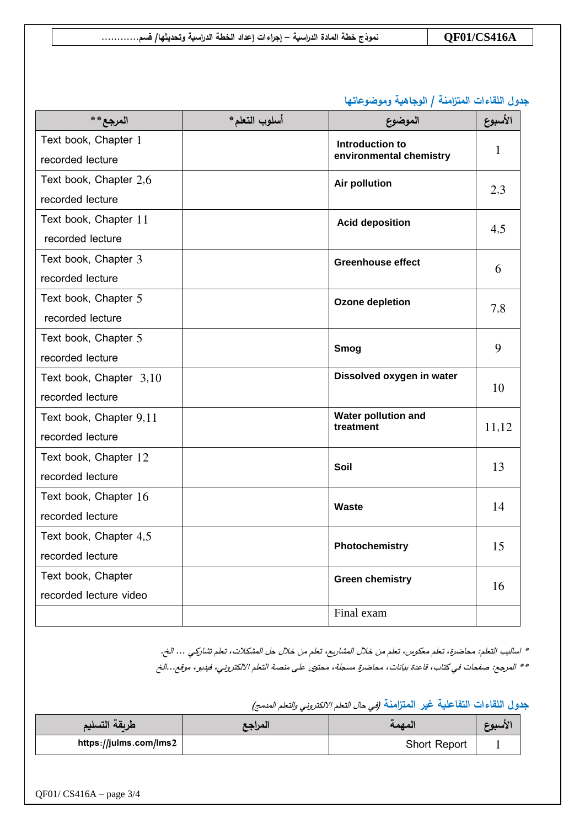|  | <b>QF01/CS416A</b><br>نموذج خطة المادة الدراسية – إجراءات إعداد الخطة الدراسية وتحديثها/ قسم |  |
|--|----------------------------------------------------------------------------------------------|--|
|--|----------------------------------------------------------------------------------------------|--|

**جدول اللقاءات المتزامنة / الوجاهية وموضوعاتها**

| المرجع**                | أسلوب التعلم* | الموضوع                                 | الأسبوع |
|-------------------------|---------------|-----------------------------------------|---------|
| Text book, Chapter 1    |               | Introduction to                         | 1       |
| recorded lecture        |               | environmental chemistry                 |         |
| Text book, Chapter 2,6  |               | Air pollution                           |         |
| recorded lecture        |               |                                         | 2,3     |
| Text book, Chapter 11   |               | <b>Acid deposition</b>                  |         |
| recorded lecture        |               |                                         | 4,5     |
| Text book, Chapter 3    |               | <b>Greenhouse effect</b>                |         |
| recorded lecture        |               |                                         | 6       |
| Text book, Chapter 5    |               | <b>Ozone depletion</b>                  |         |
| recorded lecture        |               |                                         | 7,8     |
| Text book, Chapter 5    |               |                                         | 9       |
| recorded lecture        |               | <b>Smog</b>                             |         |
| Text book, Chapter 3,10 |               | Dissolved oxygen in water               |         |
| recorded lecture        |               |                                         | 10      |
| Text book, Chapter 9,11 |               | <b>Water pollution and</b><br>treatment |         |
| recorded lecture        |               |                                         | 11,12   |
| Text book, Chapter 12   |               |                                         | 13      |
| recorded lecture        |               | Soil                                    |         |
| Text book, Chapter 16   |               |                                         |         |
| recorded lecture        |               | <b>Waste</b>                            | 14      |
| Text book, Chapter 4,5  |               |                                         | 15      |
| recorded lecture        |               | Photochemistry                          |         |
| Text book, Chapter      |               | <b>Green chemistry</b>                  | 16      |
| recorded lecture video  |               |                                         |         |
|                         |               | Final exam                              |         |

\* اساليب التعلم: محاضرة، تعلم معكوس، تعلم من خالل المشاريع، تعلم من خالل حل المشكالت، تعلم تشاركي ... الخ.

\*\* المرجع: صفحات في كتاب، قاعدة بيانات، محاضرة مسجلة، محتوى على منصة التعلم االلكتروني، فيديو، موقع...الخ

جدول اللقاءات التفاعلية غير المتزامنة *(في حال التعلم الالكتروني والتعلم المدمج)* 

| طربقة التسليم          | المراجع | المصمه              | الأسبوع |
|------------------------|---------|---------------------|---------|
| https://julms.com/lms2 |         | <b>Short Report</b> |         |